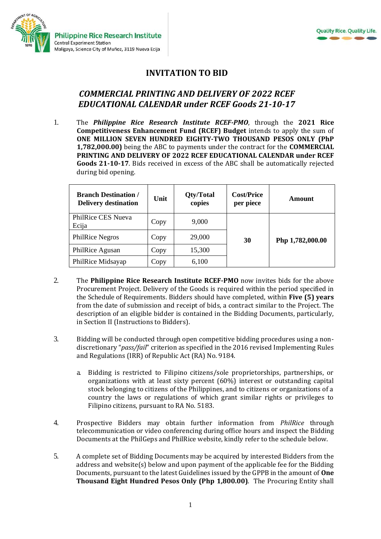

## **INVITATION TO BID**

## *COMMERCIAL PRINTING AND DELIVERY OF 2022 RCEF EDUCATIONAL CALENDAR under RCEF Goods 21-10-17*

1. The *Philippine Rice Research Institute RCEF-PMO*, through the **2021 Rice Competitiveness Enhancement Fund (RCEF) Budget** intends to apply the sum of **ONE MILLION SEVEN HUNDRED EIGHTY-TWO THOUSAND PESOS ONLY (PhP 1,782,000.00)** being the ABC to payments under the contract for the **COMMERCIAL PRINTING AND DELIVERY OF 2022 RCEF EDUCATIONAL CALENDAR under RCEF Goods 21-10-17**. Bids received in excess of the ABC shall be automatically rejected during bid opening.

| <b>Branch Destination /</b><br><b>Delivery destination</b> | Unit | Qty/Total<br>copies | <b>Cost/Price</b><br>per piece | Amount           |
|------------------------------------------------------------|------|---------------------|--------------------------------|------------------|
| PhilRice CES Nueva<br>Ecija                                | Copy | 9,000               |                                |                  |
| <b>PhilRice Negros</b>                                     | Copy | 29,000              | 30                             | Php 1,782,000.00 |
| PhilRice Agusan                                            | Copy | 15,300              |                                |                  |
| PhilRice Midsayap                                          | Copy | 6,100               |                                |                  |

- 2. The **Philippine Rice Research Institute RCEF-PMO** now invites bids for the above Procurement Project. Delivery of the Goods is required within the period specified in the Schedule of Requirements. Bidders should have completed, within **Five (5) years** from the date of submission and receipt of bids, a contract similar to the Project. The description of an eligible bidder is contained in the Bidding Documents, particularly, in Section II (Instructions to Bidders).
- 3. Bidding will be conducted through open competitive bidding procedures using a nondiscretionary "*pass/fail*" criterion as specified in the 2016 revised Implementing Rules and Regulations (IRR) of Republic Act (RA) No. 9184.
	- a. Bidding is restricted to Filipino citizens/sole proprietorships, partnerships, or organizations with at least sixty percent (60%) interest or outstanding capital stock belonging to citizens of the Philippines, and to citizens or organizations of a country the laws or regulations of which grant similar rights or privileges to Filipino citizens, pursuant to RA No. 5183.
- 4. Prospective Bidders may obtain further information from *PhilRice* through telecommunication or video conferencing during office hours and inspect the Bidding Documents at the PhilGeps and PhilRice website, kindly refer to the schedule below.
- 5. A complete set of Bidding Documents may be acquired by interested Bidders from the address and website(s) below and upon payment of the applicable fee for the Bidding Documents, pursuant to the latest Guidelines issued by the GPPB in the amount of **One Thousand Eight Hundred Pesos Only (Php 1,800.00)**. The Procuring Entity shall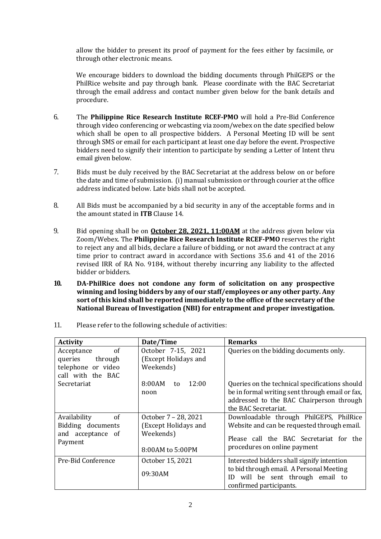allow the bidder to present its proof of payment for the fees either by facsimile, or through other electronic means.

We encourage bidders to download the bidding documents through PhilGEPS or the PhilRice website and pay through bank. Please coordinate with the BAC Secretariat through the email address and contact number given below for the bank details and procedure.

- 6. The **Philippine Rice Research Institute RCEF-PMO** will hold a Pre-Bid Conference through video conferencing or webcasting via zoom/webex on the date specified below which shall be open to all prospective bidders. A Personal Meeting ID will be sent through SMS or email for each participant at least one day before the event. Prospective bidders need to signify their intention to participate by sending a Letter of Intent thru email given below.
- 7. Bids must be duly received by the BAC Secretariat at the address below on or before the date and time of submission. (i) manual submission or through courier at the office address indicated below*.* Late bids shall not be accepted.
- 8. All Bids must be accompanied by a bid security in any of the acceptable forms and in the amount stated in **ITB** Clause 14.
- 9. Bid opening shall be on **October 28, 2021, 11:00AM** at the address given below via Zoom/Webex. The **Philippine Rice Research Institute RCEF-PMO** reserves the right to reject any and all bids, declare a failure of bidding, or not award the contract at any time prior to contract award in accordance with Sections 35.6 and 41 of the 2016 revised IRR of RA No. 9184, without thereby incurring any liability to the affected bidder or bidders.
- **10. DA-PhilRice does not condone any form of solicitation on any prospective winning and losing bidders by any of our staff/employees or any other party. Any sort of this kind shall be reported immediately to the office of the secretary of the National Bureau of Investigation (NBI) for entrapment and proper investigation.**

| <b>Activity</b>                                                                | Date/Time                                                                     | <b>Remarks</b>                                                                                                                                                        |
|--------------------------------------------------------------------------------|-------------------------------------------------------------------------------|-----------------------------------------------------------------------------------------------------------------------------------------------------------------------|
| of<br>Acceptance<br>queries through<br>telephone or video<br>call with the BAC | October 7-15, 2021<br>(Except Holidays and<br>Weekends)                       | Queries on the bidding documents only.                                                                                                                                |
| Secretariat                                                                    | 8:00AM<br>12:00<br>to<br>noon                                                 | Queries on the technical specifications should<br>be in formal writing sent through email or fax,<br>addressed to the BAC Chairperson through<br>the BAC Secretariat. |
| Availability<br>of<br>Bidding documents<br>and acceptance of<br>Payment        | October 7 - 28, 2021<br>(Except Holidays and<br>Weekends)<br>8:00AM to 5:00PM | Downloadable through PhilGEPS, PhilRice<br>Website and can be requested through email.<br>Please call the BAC Secretariat for the<br>procedures on online payment     |
| Pre-Bid Conference                                                             | October 15, 2021<br>09:30AM                                                   | Interested bidders shall signify intention<br>to bid through email. A Personal Meeting<br>will be sent through email to<br>ID<br>confirmed participants.              |

11. Please refer to the following schedule of activities: